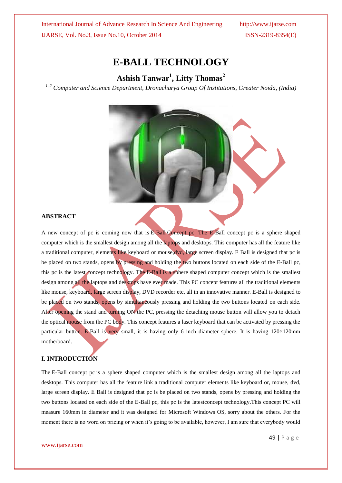# **E-BALL TECHNOLOGY**

# **Ashish Tanwar<sup>1</sup> , Litty Thomas<sup>2</sup>**

*1, 2 Computer and Science Department, Dronacharya Group Of Institutions, Greater Noida, (India)*



### **ABSTRACT**

A new concept of pc is coming now that is E-Ball Concept pc. The E-Ball concept pc is a sphere shaped computer which is the smallest design among all the laptops and desktops. This computer has all the feature like a traditional computer, elements like keyboard or mouse,dvd, large screen display. E Ball is designed that pc is be placed on two stands, opens by pressing and holding the two buttons located on each side of the E-Ball pc, this pc is the latest concept technology. The E-Ball is a sphere shaped computer concept which is the smallest design among all the laptops and desktops have ever made. This PC concept features all the traditional elements like mouse, keyboard, large screen display, DVD recorder etc, all in an innovative manner. E-Ball is designed to be placed on two stands, opens by simultaneously pressing and holding the two buttons located on each side. After opening the stand and turning ON the PC, pressing the detaching mouse button will allow you to detach the optical mouse from the PC body. This concept features a laser keyboard that can be activated by pressing the particular button. E-Ball is very small, it is having only 6 inch diameter sphere. It is having 120×120mm motherboard.

#### **I. INTRODUCTION**

The E-Ball concept pc is a sphere shaped computer which is the smallest design among all the laptops and desktops. This computer has all the feature link a traditional computer elements like keyboard or, mouse, dvd, large screen display. E Ball is designed that pc is be placed on two stands, opens by pressing and holding the two buttons located on each side of the E-Ball pc, this pc is the latestconcept technology.This concept PC will measure 160mm in diameter and it was designed for Microsoft Windows OS, sorry about the others. For the moment there is no word on pricing or when it's going to be available, however, I am sure that everybody would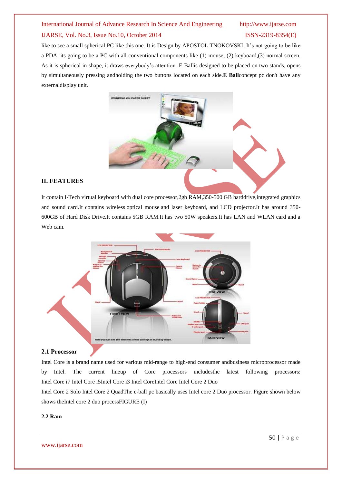like to see a small spherical PC like this one. It is Design by APOSTOL TNOKOVSKI. It's not going to be like a PDA, its going to be a PC with all conventional components like (1) mouse, (2) keyboard,(3) normal screen. As it is spherical in shape, it draws everybody's attention. E-Ballis designed to be placed on two stands, opens by simultaneously pressing andholding the two buttons located on each side.**E Ball**concept pc don't have any externaldisplay unit.



## **II. FEATURES**

It contain I-Tech virtual keyboard with dual core processor,2gb RAM,350-500 GB harddrive,integrated graphics and sound card.It contains wireless optical mouse and laser keyboard, and LCD projector.It has around 350- 600GB of Hard Disk Drive.It contains 5GB RAM.It has two 50W speakers.It has LAN and WLAN card and a Web cam.



#### **2.1 Processor**

Intel Core is a brand name used for various mid-range to high-end consumer andbusiness microprocessor made by Intel. The current lineup of Core processors includesthe latest following processors: Intel Core i7 Intel Core i5Intel Core i3 Intel CoreIntel Core Intel Core 2 Duo

Intel Core 2 Solo Intel Core 2 QuadThe e-ball pc basically uses Intel core 2 Duo processor. Figure shown below shows theIntel core 2 duo processFIGURE (I)

#### **2.2 Ram**

www.ijarse.com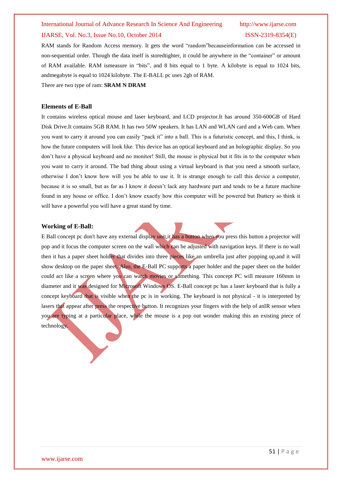#### International Journal of Advance Research In Science And Engineering http://www.ijarse.com

#### IJARSE, Vol. No.3, Issue No.10, October 2014 ISSN-2319-8354(E)

RAM stands for Random Access memory. It gets the word "random"becauseinformation can be accessed in non-sequential order. Though the data itself is storedtighter, it could be anywhere in the "container" or amount of RAM available. RAM ismeasure in "bits", and 8 bits equal to 1 byte. A kilobyte is equal to 1024 bits, andmegabyte is equal to 1024 kilobyte. The E-BALL pc uses 2gb of RAM.

There are two type of ram: **SRAM N DRAM**

#### **Elements of E-Ball**

It contains wireless optical mouse and laser keyboard, and LCD projector.It has around 350-600GB of Hard Disk Drive.It contains 5GB RAM. It has two 50W speakers. It has LAN and WLAN card and a Web cam. When you want to carry it around you can easily "pack it" into a ball. This is a futuristic concept, and this, I think, is how the future computers will look like. This device has an optical keyboard and an holographic display. So you don't have a physical keyboard and no monitor! Still, the mouse is physical but it fits in to the computer when you want to carry it around. The bad thing about using a virtual keyboard is that you need a smooth surface, otherwise I don't know how will you be able to use it. It is strange enough to call this device a computer, because it is so small, but as far as I know it doesn't lack any hardware part and tends to be a future machine found in any house or office. I don't know exactly how this computer will be powered but Ibattery so think it will have a powerful you will have a great stand by time.

#### **Working of E-Ball:**

E Ball concept pc don't have any external display unit,it has a button when you press this button a projector will pop and it focus the computer screen on the wall which can be adjusted with navigation keys. If there is no wall then it has a paper sheet holder that divides into three pieces like an umbrella just after popping up,and it will show desktop on the paper sheet. Also, the E-Ball PC supports a paper holder and the paper sheet on the holder could act like a screen where you can watch movies or something. This concept PC will measure 160mm in diameter and it was designed for Microsoft Windows OS. E-Ball concept pc has a laser keyboard that is fully a concept keyboard that is visible when the pc is in working. The keyboard is not physical - it is interpreted by lasers that appear after press the respective button. It recognizes your fingers with the help of anIR sensor when you are typing at a particular place, while the mouse is a pop out wonder making this an existing piece of technology.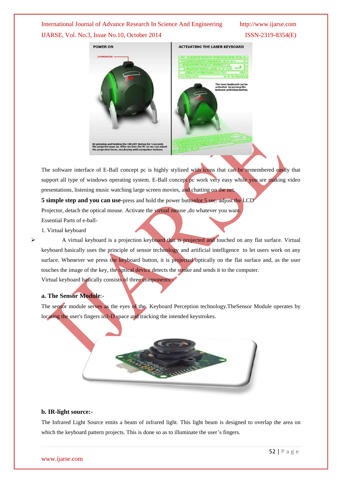# **POWER ON ACTIVATING THE LASER KEYBOARD**

The software interface of E-Ball concept pc is highly stylized with icons that can be remembered easily that support all type of windows operating system. E-Ball concept pc work very easy while you are making video presentations, listening music watching large screen movies, and chatting on the net.

**5 simple step and you can use-**press and hold the power buttonfor 5 sec. adjust the LCD

Projector, detach the optical mouse. Activate the virtual mouse ,do whatever you want.

Essential Parts of e-ball-

1. Virtual keyboard

A virtual keyboard is a projection keyboard that is projected and touched on any flat surface. Virtual keyboard basically uses the principle of sensor technology and artificial intelligence to let users work on any surface. Whenever we press the keyboard button, it is projected optically on the flat surface and, as the user touches the image of the key, the optical device detects the stroke and sends it to the computer. Virtual keyboard basically consists of three components:-

### **a. The Sensor Module**:-

The sensor module serves as the eyes of the Keyboard Perception technology.TheSensor Module operates by locating the user's fingers in3-D space and tracking the intended keystrokes.



#### **b. IR-light source:-**

The Infrared Light Source emits a beam of infrared light. This light beam is designed to overlap the area on which the keyboard pattern projects. This is done so as to illuminate the user's fingers.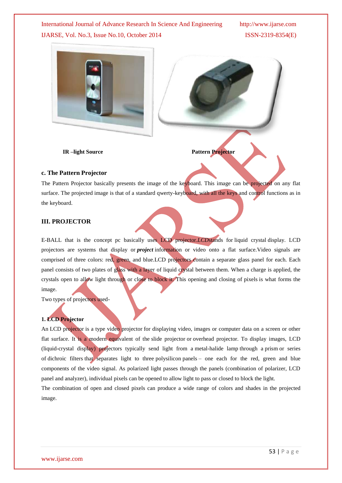

**IR** –light Source Pattern Projector

#### **c. The Pattern Projector**

The Pattern Projector basically presents the image of the keyboard. This image can be projected on any flat surface. The projected image is that of a standard qwerty-keyboard, with all the keys and control functions as in the keyboard.

#### **III. PROJECTOR**

E-BALL that is the concept pc basically uses LCD projector.*LCD*stands for liquid crystal display. LCD projectors are systems that display or *project* information or video onto a flat surface.Video signals are comprised of three colors: red, green, and blue.LCD projectors contain a separate glass panel for each. Each panel consists of two plates of glass with a layer of liquid crystal between them. When a charge is applied, the crystals open to allow light through or close to block it. This opening and closing of pixels is what forms the image.

Two types of projectors used-

#### **1. LCD Projector**

An LCD projector is a type video projector for displaying video, images or computer data on a screen or other flat surface. It is a modern equivalent of the slide projector or overhead projector. To display images, LCD (liquid-crystal display) projectors typically send light from a metal-halide lamp through a prism or series of dichroic filters that separates light to three polysilicon panels – one each for the red, green and blue components of the video signal. As polarized light passes through the panels (combination of polarizer, LCD panel and analyzer), individual pixels can be opened to allow light to pass or closed to block the light.

The combination of open and closed pixels can produce a wide range of colors and shades in the projected image.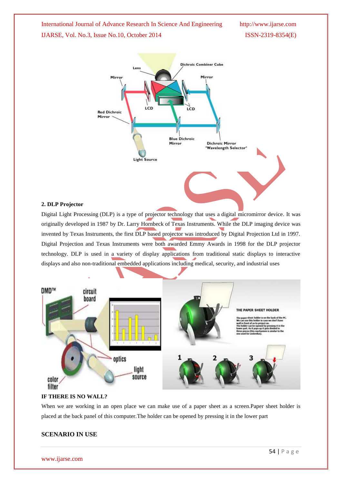

#### **2. DLP Projector**

Digital Light Processing (DLP) is a type of projector technology that uses a digital micromirror device. It was originally developed in 1987 by Dr. Larry Hornbeck of Texas Instruments. While the DLP imaging device was invented by Texas Instruments, the first DLP based projector was introduced by Digital Projection Ltd in 1997. Digital Projection and Texas Instruments were both awarded Emmy Awards in 1998 for the DLP projector technology. DLP is used in a variety of display applications from traditional static displays to interactive displays and also non-traditional embedded applications including medical, security, and industrial uses



#### **IF THERE IS NO WALL?**

When we are working in an open place we can make use of a paper sheet as a screen.Paper sheet holder is placed at the back panel of this computer.The holder can be opened by pressing it in the lower part

#### **SCENARIO IN USE**

www.ijarse.com